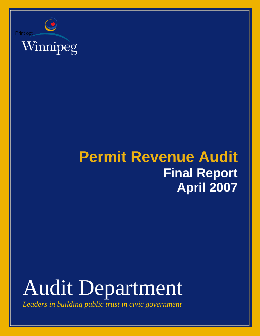

## **Permit Revenue Audit Final Report April 2007**

# Audit Department

*Leaders in building public trust in civic government*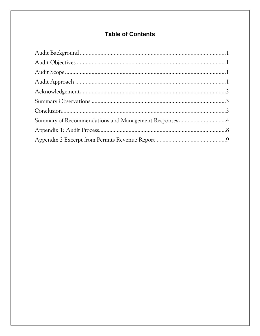### **Table of Contents**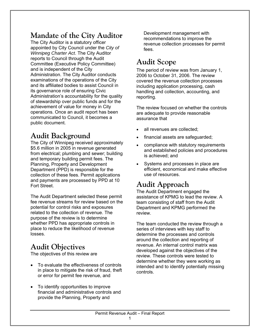### **Mandate of the City Auditor**

The City Auditor is a statutory officer appointed by City Council under the *City of Winnipeg Charter Act*. The City Auditor reports to Council through the Audit Committee (Executive Policy Committee) and is independent of the City Administration. The City Auditor conducts examinations of the operations of the City and its affiliated bodies to assist Council in its governance role of ensuring Civic Administration's accountability for the quality of stewardship over public funds and for the achievement of value for money in City operations. Once an audit report has been communicated to Council, it becomes a public document.

### **Audit Background**

The City of Winnipeg received approximately \$5.6 million in 2005 in revenue generated from electrical; plumbing and sewer; building and temporary building permit fees. The Planning, Property and Development Department (PPD) is responsible for the collection of these fees. Permit applications and payments are processed by PPD at 10 Fort Street.

The Audit Department selected these permit fee revenue streams for review based on the potential for control risks and exposures related to the collection of revenue. The purpose of the review is to determine whether PPD has appropriate controls in place to reduce the likelihood of revenue losses.

### **Audit Objectives**

The objectives of this review are

- To evaluate the effectiveness of controls in place to mitigate the risk of fraud, theft or error for permit fee revenue, and
- To identify opportunities to improve financial and administrative controls and provide the Planning, Property and

Development management with recommendations to improve the revenue collection processes for permit fees.

### **Audit Scope**

The period of review was from January 1, 2006 to October 31, 2006. The review covered the revenue collection processes including application processing, cash handling and collection, accounting, and reporting.

The review focused on whether the controls are adequate to provide reasonable assurance that

- all revenues are collected:
- financial assets are safeguarded;
- compliance with statutory requirements and established policies and procedures is achieved; and
- Systems and processes in place are efficient, economical and make effective use of resources.

### **Audit Approach**

The Audit Department engaged the assistance of KPMG to lead the review. A team consisting of staff from the Audit Department and KPMG performed the review.

The team conducted the review through a series of interviews with key staff to determine the processes and controls around the collection and reporting of revenue. An internal control matrix was developed against the objectives of the review. These controls were tested to determine whether they were working as intended and to identify potentially missing controls.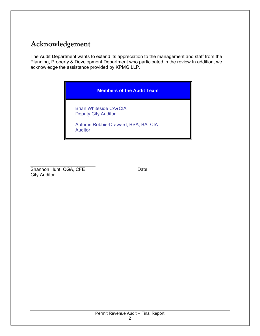### **Acknowledgement**

The Audit Department wants to extend its appreciation to the management and staff from the Planning, Property & Development Department who participated in the review In addition, we acknowledge the assistance provided by KPMG LLP.

#### **Members of the Audit Team**

Brian Whiteside CA●CIA Deputy City Auditor

Autumn Robbie-Draward, BSA, BA, CIA Auditor

\_\_\_\_\_\_\_\_\_\_\_\_\_\_\_\_\_\_\_\_\_\_\_\_\_ *\_\_\_\_\_\_\_\_\_\_\_\_\_\_\_\_\_\_\_\_\_\_\_\_\_\_\_\_* Shannon Hunt, CGA, CFE Date City Auditor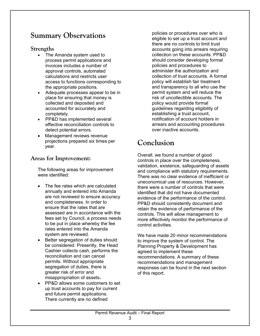### **Summary Observations**

#### **Strengths**

- The Amanda system used to process permit applications and invoices includes a number of approval controls, automated calculations and restricts user access to functions corresponding to the appropriate positions.
- Adequate processes appear to be in place for ensuring that money is collected and deposited and accounted for accurately and completely.
- PP&D has implemented several effective reconciliation controls to detect potential errors.
- Management reviews revenue projections prepared six times per year.

#### **Areas for Improvement:**

The following areas for improvement were identified:

- The fee rates which are calculated annually and entered into Amanda are not reviewed to ensure accuracy and completeness. In order to ensure that the rates that are assessed are in accordance with the fees set by Council, a process needs to be put in place whereby the fee rates entered into the Amanda system are reviewed.
- Better segregation of duties should be considered. Presently, the Head Cashier collects cash, performs the reconciliation and can cancel permits. Without appropriate segregation of duties, there is greater risk of error and misappropriation of assets**.**
- PP&D allows some customers to set up trust accounts to pay for current and future permit applications. There currently are no defined

policies or procedures over who is eligible to set up a trust account and there are no controls to limit trust accounts going into arrears requiring collection on these accounts. PP&D should consider developing formal policies and procedures to administer the authorization and collection of trust accounts. A formal policy will establish fair treatment and transparency to all who use the permit system and will reduce the risk of uncollectible accounts. The policy would provide formal guidelines regarding eligibility of establishing a trust account, notification of account holders in arrears and accounting procedures over inactive accounts.

### **Conclusion**

Overall, we found a number of good controls in place over the completeness, validation, existence, safeguarding of assets and compliance with statutory requirements. There was no clear evidence of inefficient or uneconomical use of resources. However, there were a number of controls that were identified that did not have documented evidence of the performance of the control. PP&D should consistently document and retain the evidence of performance of the controls. This will allow management to more effectively monitor the performance of control activities.

We have made 20 minor recommendations to improve the system of control. The Planning Property & Development has agreed to implement these recommendations. A summary of these recommendations and management responses can be found in the next section of this report.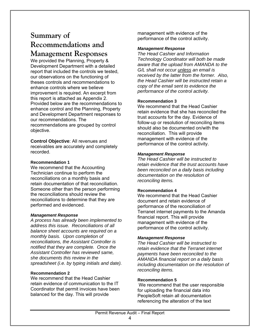### **Summary of Recommendations and**

### **Management Responses**

We provided the Planning, Property & Development Department with a detailed report that included the controls we tested, our observations on the functioning of theses controls and recommendations to enhance controls where we believe improvement is required. An excerpt from this report is attached as Appendix 2. Provided below are the recommendations to enhance control and the Planning, Property and Development Department responses to our recommendations. The recommendations are grouped by control objective.

**Control Objective**: All revenues and receivables are accurately and completely recorded.

#### **Recommendation 1**

We recommend that the Accounting Technician continue to perform the reconciliations on a monthly basis and retain documentation of that reconciliation. Someone other than the person performing the reconciliations should review the reconciliations to determine that they are performed and evidenced.

#### *Management Response*

*A process has already been implemented to address this issue. Reconciliations of all balance sheet accounts are required on a monthly basis. Upon completion of reconciliations, the Assistant Controller is notified that they are complete. Once the Assistant Controller has reviewed same, she documents this review in the spreadsheet (i.e. by typing initials and date).*

#### **Recommendation 2**

We recommend that the Head Cashier retain evidence of communication to the IT Coordinator that permit invoices have been balanced for the day. This will provide

management with evidence of the performance of the control activity.

#### *Management Response*

*The Head Cashier and Information Technology Coordinator will both be made aware that the upload from AMANDA to the G/L shall not occur unless an email is received by the latter from the former. Also, the Head Cashier will be instructed retain a copy of the email sent to evidence the performance of the control activity.*

#### **Recommendation 3**

We recommend that the Head Cashier retain evidence that she has reconciled the trust accounts for the day. Evidence of follow-up or resolution of reconciling items should also be documented on/with the reconciliation. This will provide management with evidence of the performance of the control activity.

#### *Management Response*

*The Head Cashier will be instructed to retain evidence that the trust accounts have been reconciled on a daily basis including documentation on the resolution of reconciling items.*

#### **Recommendation 4**

We recommend that the Head Cashier document and retain evidence of performance of the reconciliation of Terranet internet payments to the Amanda financial report. This will provide management with evidence of the performance of the control activity.

#### *Management Response*

*The Head Cashier will be instructed to retain evidence that the Terranet internet payments have been reconciled to the AMANDA financial report on a daily basis including documentation on the resolution of reconciling items.*

#### **Recommendation 5**

We recommend that the user responsible for uploading the financial data into PeopleSoft retain all documentation referencing the alteration of the text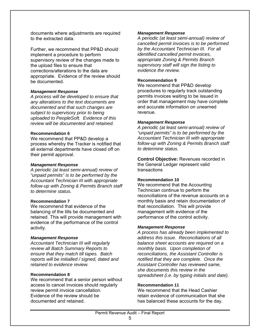documents where adjustments are required to the extracted data.

Further, we recommend that PP&D should implement a procedure to perform supervisory review of the changes made to the upload files to ensure that corrections/alterations to the data are appropriate. Evidence of the review should be documented.

#### *Management Response*

*A process will be developed to ensure that any alterations to the text documents are documented and that such changes are subject to supervisory prior to being uploaded to PeopleSoft. Evidence of this review will be documented and retained.* 

#### **Recommendation 6**

We recommend that PP&D develop a process whereby the Tracker is notified that all external departments have closed off on their permit approval.

#### *Management Response*

*A periodic (at least semi-annual) review of "unpaid permits" is to be performed by the Accountant Technician III with appropriate follow-up with Zoning & Permits Branch staff to determine status.*

#### **Recommendation 7**

We recommend that evidence of the balancing of the tills be documented and retained. This will provide management with evidence of the performance of the control activity.

#### *Management Response*

*Accountant Technician III will regularly review all Batch Summary Reports to ensure that they match till tapes. Batch reports will be initialled / signed, dated and retained to evidence review.* 

#### **Recommendation 8**

We recommend that a senior person without access to cancel invoices should regularly review permit invoice cancellation. Evidence of the review should be documented and retained.

#### *Management Response*

*A periodic (at least semi-annual) review of cancelled permit invoices is to be performed by the Accountant Technician III. For all identified cancelled permit invoices, appropriate Zoning & Permits Branch supervisory staff will sign the listing to evidence the review.*

#### **Recommendation 9**

We recommend that PP&D develop procedures to regularly track outstanding permits invoices waiting to be issued in order that management may have complete and accurate information on unearned revenue.

#### *Management Response*

*A periodic (at least semi-annual) review of "unpaid permits" is to be performed by the Accountant Technician III with appropriate follow-up with Zoning & Permits Branch staff to determine status.*

**Control Objective:** Revenues recorded in the General Ledger represent valid transactions

#### **Recommendation 10**

We recommend that the Accounting Technician continue to perform the reconciliations of the revenue accounts on a monthly basis and retain documentation of that reconciliation. This will provide management with evidence of the performance of the control activity.

#### *Management Response*

*A process has already been implemented to address this issue. Reconciliations of all balance sheet accounts are required on a monthly basis. Upon completion of reconciliations, the Assistant Controller is notified that they are complete. Once the Assistant Controller has reviewed same, she documents this review in the spreadsheet (i.e. by typing initials and date).*

#### **Recommendation 11**

We recommend that the Head Cashier retain evidence of communication that she has balanced these accounts for the day.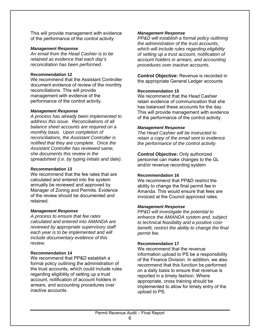This will provide management with evidence of the performance of the control activity.

#### *Management Response*

*An email from the Head Cashier is to be retained as evidence that each day's reconciliation has been performed.* 

#### **Recommendation 12**

We recommend that the Assistant Controller document evidence of review of the monthly reconciliations. This will provide management with evidence of the performance of the control activity.

#### *Management Response*

*A process has already been implemented to address this issue. Reconciliations of all balance sheet accounts are required on a monthly basis. Upon completion of reconciliations, the Assistant Controller is notified that they are complete. Once the Assistant Controller has reviewed same, she documents this review in the spreadsheet (i.e. by typing initials and date).*

#### **Recommendation 13**

We recommend that the fee rates that are calculated and entered into the system annually be reviewed and approved by Manager of Zoning and Permits. Evidence of the review should be documented and retained.

#### *Management Response*

*A process to ensure that fee rates calculated and entered into AMANDA are reviewed by appropriate supervisory staff each year is to be implemented and will include documentary evidence of this review.* 

#### **Recommendation 14**

We recommend that PP&D establish a formal policy outlining the administration of the trust accounts, which could include rules regarding eligibility of setting up a trust account, notification of account holders in arrears, and accounting procedures over inactive accounts.

#### *Management Response*

*PP&D will establish a formal policy outlining the administration of the trust accounts, which will include rules regarding eligibility of setting up a trust account, notification of account holders in arrears, and accounting procedures over inactive accounts.*

**Control Objective:** Revenue is recorded in the appropriate General Ledger accounts

#### **Recommendation 15**

We recommend that the Head Cashier retain evidence of communication that she has balanced these accounts for the day. This will provide management with evidence of the performance of the control activity.

#### *Management Response*

*The Head Cashier will be instructed to retain a copy of the email sent to evidence the performance of the control activity.* 

**Control Objective:** Only authorized personnel can make changes to the GL and/or revenue recording system

#### **Recommendation 16**

We recommend that PP&D restrict the ability to change the final permit fee in Amanda. This would ensure that fees are invoiced at the Council approved rates.

#### *Management Response*

*PP&D will investigate the potential to enhance the AMANDA system and, subject to technical feasibility and a positive costbenefit, restrict the ability to change the final permit fee.* 

#### **Recommendation 17**

We recommend that the revenue information upload to PS be a responsibility of the Finance Division. In addition, we also recommend that this function be performed on a daily basis to ensure that revenue is reported in a timely fashion. Where appropriate, cross training should be implemented to allow for timely entry of the upload to PS.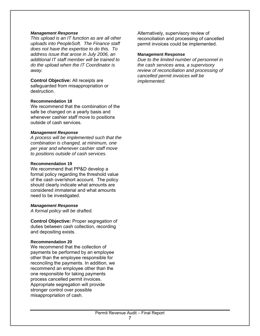#### *Management Response*

*This upload is an IT function as are all other uploads into PeopleSoft. The Finance staff does not have the expertise to do this. To address issue that arose in July 2006, an additional IT staff member will be trained to do the upload when the IT Coordinator is away.*

**Control Objective:** All receipts are safeguarded from misappropriation or destruction.

#### **Recommendation 18**

We recommend that the combination of the safe be changed on a yearly basis and whenever cashier staff move to positions outside of cash services.

#### *Management Response*

*A process will be implemented such that the combination is changed, at minimum, one per year and whenever cashier staff move to positions outside of cash services.*

#### **Recommendation 19**

We recommend that PP&D develop a formal policy regarding the threshold value of the cash over/short account. The policy should clearly indicate what amounts are considered immaterial and what amounts need to be investigated.

#### *Management Response*

*A formal policy will be drafted.* 

**Control Objective:** Proper segregation of duties between cash collection, recording and depositing exists.

#### **Recommendation 20**

We recommend that the collection of payments be performed by an employee other than the employee responsible for reconciling the payments. In addition, we recommend an employee other than the one responsible for taking payments process cancelled permit invoices. Appropriate segregation will provide stronger control over possible misappropriation of cash.

Alternatively, supervisory review of reconciliation and processing of cancelled permit invoices could be implemented.

#### **Management Response**

*Due to the limited number of personnel in the cash services area, a supervisory review of reconciliation and processing of cancelled permit invoices will be implemented.*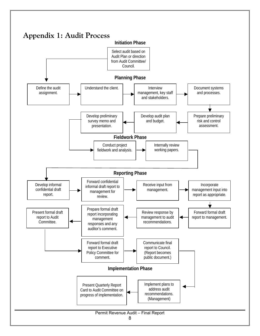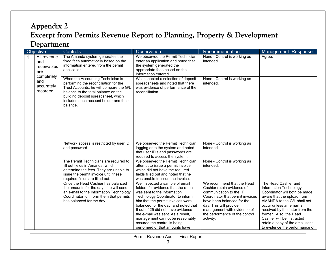### **Appendix 2 Excerpt from Permits Revenue Report to Planning, Property & Development Department**

|                                              | Objective                  | Controls                                                                                                                                                                                                                                                  | Observation                                                                                                                                                                                                                                                                                                                                                                                           | Recommendation                                                                                                                                                                                                                                                | Management Response                                                                                                                                                                                                                                                                                                                      |
|----------------------------------------------|----------------------------|-----------------------------------------------------------------------------------------------------------------------------------------------------------------------------------------------------------------------------------------------------------|-------------------------------------------------------------------------------------------------------------------------------------------------------------------------------------------------------------------------------------------------------------------------------------------------------------------------------------------------------------------------------------------------------|---------------------------------------------------------------------------------------------------------------------------------------------------------------------------------------------------------------------------------------------------------------|------------------------------------------------------------------------------------------------------------------------------------------------------------------------------------------------------------------------------------------------------------------------------------------------------------------------------------------|
| and<br>are<br>completely<br>and<br>recorded. | All revenue<br>receivables | The Amanda system generates the<br>fixed fees automatically based on the<br>information entered from the permit<br>application.                                                                                                                           | We observed the Permit Technician<br>enter an application and noted that<br>the system generated the<br>appropriate fees based on the<br>information entered.                                                                                                                                                                                                                                         | None - Control is working as<br>intended.                                                                                                                                                                                                                     | Agree.                                                                                                                                                                                                                                                                                                                                   |
|                                              | accurately                 | When the Accounting Technician is<br>performing the reconciliation for the<br>Trust Accounts, he will compare the G/L<br>balance to the total balance on the<br>building deposit spreadsheet, which<br>includes each account holder and their<br>balance. | We inspected a selection of deposit<br>spreadsheets and noted that there<br>was evidence of performance of the<br>reconciliation.                                                                                                                                                                                                                                                                     | None - Control is working as<br>intended.                                                                                                                                                                                                                     |                                                                                                                                                                                                                                                                                                                                          |
|                                              |                            | Network access is restricted by user ID<br>and password.                                                                                                                                                                                                  | We observed the Permit Technician<br>logging onto the system and noted<br>that user ID's and passwords are<br>required to access the system.                                                                                                                                                                                                                                                          | None - Control is working as<br>intended.                                                                                                                                                                                                                     |                                                                                                                                                                                                                                                                                                                                          |
|                                              |                            | The Permit Technicians are required to<br>fill out fields in Amanda, which<br>determine the fees. They are unable to<br>issue the permit invoice until these<br>required fields are filled out.                                                           | We observed the Permit Technician<br>attempt to issue a permit invoice<br>which did not have the required<br>fields filled out and noted that he<br>was unable to issue the invoice.                                                                                                                                                                                                                  | None - Control is working as<br>intended.                                                                                                                                                                                                                     |                                                                                                                                                                                                                                                                                                                                          |
|                                              |                            | Once the Head Cashier has balanced<br>the amounts for the day, she will send<br>an e-mail to the Information Technology<br>Coordinator to inform them that permits<br>has balanced for the day.                                                           | We inspected a sample of email<br>folders for evidence that the e-mail<br>was sent to the Information<br>Technology Coordinator to inform<br>him that the permit invoices were<br>balanced for the day, and noted that<br>6 out of 25 did not have evidence<br>the e-mail was sent. As a result,<br>management cannot be reasonably<br>assured the control is being<br>performed or that amounts have | We recommend that the Head<br>Cashier retain evidence of<br>communication to the IT<br>Coordinator that permit invoices<br>have been balanced for the<br>day. This will provide<br>management with evidence of<br>the performance of the control<br>activity. | The Head Cashier and<br>Information Technology<br>Coordinator will both be made<br>aware that the upload from<br>AMANDA to the G/L shall not<br>occur unless an email is<br>received by the latter from the<br>former. Also, the Head<br>Cashier will be instructed<br>retain a copy of the email sent<br>to evidence the performance of |

Permit Revenue Audit – Final Report